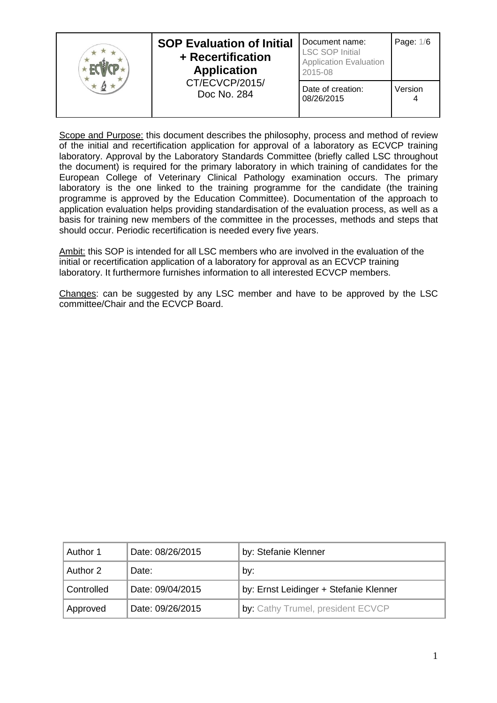|  | <b>SOP Evaluation of Initial</b><br>+ Recertification<br><b>Application</b> | Document name:<br><b>LSC SOP Initial</b><br><b>Application Evaluation</b><br>2015-08 | Page: 1/6 |
|--|-----------------------------------------------------------------------------|--------------------------------------------------------------------------------------|-----------|
|  | CT/ECVCP/2015/<br>Doc No. 284                                               | Date of creation:<br>08/26/2015                                                      | Version   |

Scope and Purpose: this document describes the philosophy, process and method of review of the initial and recertification application for approval of a laboratory as ECVCP training laboratory. Approval by the Laboratory Standards Committee (briefly called LSC throughout the document) is required for the primary laboratory in which training of candidates for the European College of Veterinary Clinical Pathology examination occurs. The primary laboratory is the one linked to the training programme for the candidate (the training programme is approved by the Education Committee). Documentation of the approach to application evaluation helps providing standardisation of the evaluation process, as well as a basis for training new members of the committee in the processes, methods and steps that should occur. Periodic recertification is needed every five years.

Ambit: this SOP is intended for all LSC members who are involved in the evaluation of the initial or recertification application of a laboratory for approval as an ECVCP training laboratory. It furthermore furnishes information to all interested ECVCP members.

Changes: can be suggested by any LSC member and have to be approved by the LSC committee/Chair and the ECVCP Board.

| Author 1   | Date: 08/26/2015 | by: Stefanie Klenner                   |
|------------|------------------|----------------------------------------|
| Author 2   | Date:            | by:                                    |
| Controlled | Date: 09/04/2015 | by: Ernst Leidinger + Stefanie Klenner |
| Approved   | Date: 09/26/2015 | by: Cathy Trumel, president ECVCP      |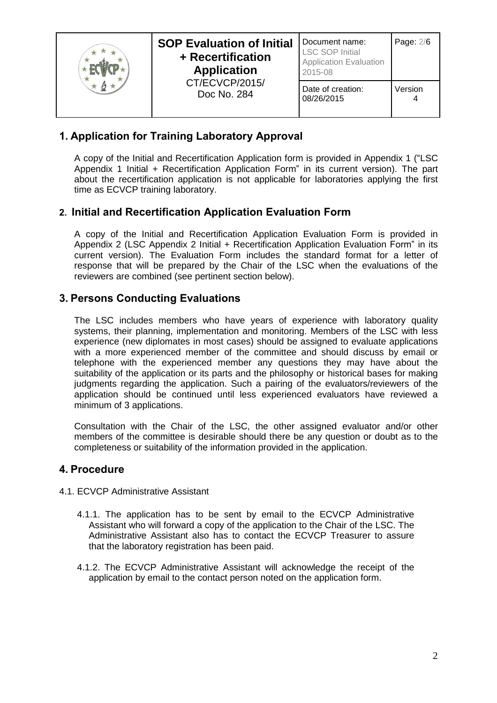|  | <b>SOP Evaluation of Initial</b><br>+ Recertification<br><b>Application</b> | Document name:<br><b>LSC SOP Initial</b><br><b>Application Evaluation</b><br>2015-08 | Page: 2/6 |
|--|-----------------------------------------------------------------------------|--------------------------------------------------------------------------------------|-----------|
|  | CT/ECVCP/2015/<br>Doc No. 284                                               | Date of creation:<br>08/26/2015                                                      | Version   |

# **1. Application for Training Laboratory Approval**

A copy of the Initial and Recertification Application form is provided in Appendix 1 ("LSC Appendix 1 Initial + Recertification Application Form" in its current version). The part about the recertification application is not applicable for laboratories applying the first time as ECVCP training laboratory.

## **2. Initial and Recertification Application Evaluation Form**

A copy of the Initial and Recertification Application Evaluation Form is provided in Appendix 2 (LSC Appendix 2 Initial + Recertification Application Evaluation Form" in its current version). The Evaluation Form includes the standard format for a letter of response that will be prepared by the Chair of the LSC when the evaluations of the reviewers are combined (see pertinent section below).

## **3. Persons Conducting Evaluations**

The LSC includes members who have years of experience with laboratory quality systems, their planning, implementation and monitoring. Members of the LSC with less experience (new diplomates in most cases) should be assigned to evaluate applications with a more experienced member of the committee and should discuss by email or telephone with the experienced member any questions they may have about the suitability of the application or its parts and the philosophy or historical bases for making judgments regarding the application. Such a pairing of the evaluators/reviewers of the application should be continued until less experienced evaluators have reviewed a minimum of 3 applications.

Consultation with the Chair of the LSC, the other assigned evaluator and/or other members of the committee is desirable should there be any question or doubt as to the completeness or suitability of the information provided in the application.

## **4. Procedure**

- 4.1. ECVCP Administrative Assistant
	- 4.1.1. The application has to be sent by email to the ECVCP Administrative Assistant who will forward a copy of the application to the Chair of the LSC. The Administrative Assistant also has to contact the ECVCP Treasurer to assure that the laboratory registration has been paid.
	- 4.1.2. The ECVCP Administrative Assistant will acknowledge the receipt of the application by email to the contact person noted on the application form.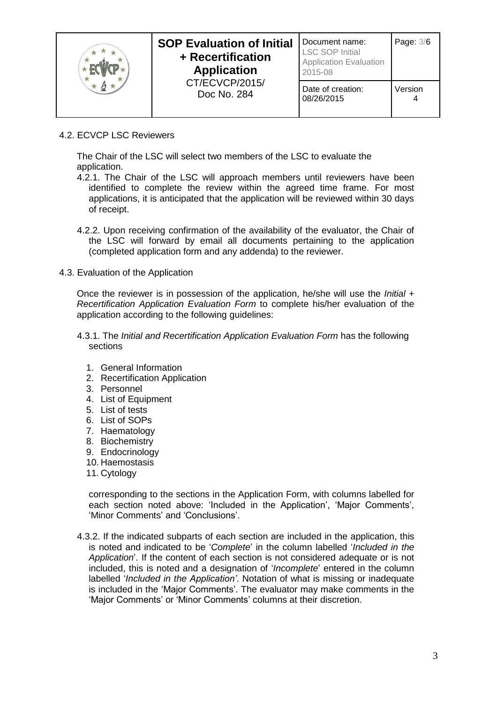|  | <b>SOP Evaluation of Initial</b><br>+ Recertification<br><b>Application</b> | Document name:<br><b>LSC SOP Initial</b><br><b>Application Evaluation</b><br>2015-08 | Page: 3/6 |
|--|-----------------------------------------------------------------------------|--------------------------------------------------------------------------------------|-----------|
|  | CT/ECVCP/2015/<br>Doc No. 284                                               | Date of creation:<br>08/26/2015                                                      | Version   |

4.2. ECVCP LSC Reviewers

The Chair of the LSC will select two members of the LSC to evaluate the application.

- 4.2.1. The Chair of the LSC will approach members until reviewers have been identified to complete the review within the agreed time frame. For most applications, it is anticipated that the application will be reviewed within 30 days of receipt.
- 4.2.2. Upon receiving confirmation of the availability of the evaluator, the Chair of the LSC will forward by email all documents pertaining to the application (completed application form and any addenda) to the reviewer.
- 4.3. Evaluation of the Application

Once the reviewer is in possession of the application, he/she will use the *Initial + Recertification Application Evaluation Form* to complete his/her evaluation of the application according to the following guidelines:

- 4.3.1. The *Initial and Recertification Application Evaluation Form* has the following sections
	- 1. General Information
	- 2. Recertification Application
	- 3. Personnel
	- 4. List of Equipment
	- 5. List of tests
	- 6. List of SOPs
	- 7. Haematology
	- 8. Biochemistry
	- 9. Endocrinology
	- 10. Haemostasis
	- 11. Cytology

corresponding to the sections in the Application Form, with columns labelled for each section noted above: 'Included in the Application', 'Major Comments', 'Minor Comments' and 'Conclusions'.

4.3.2. If the indicated subparts of each section are included in the application, this is noted and indicated to be '*Complete*' in the column labelled '*Included in the Application*'. If the content of each section is not considered adequate or is not included, this is noted and a designation of '*Incomplete*' entered in the column labelled '*Included in the Application'*. Notation of what is missing or inadequate is included in the 'Major Comments'. The evaluator may make comments in the 'Major Comments' or 'Minor Comments' columns at their discretion.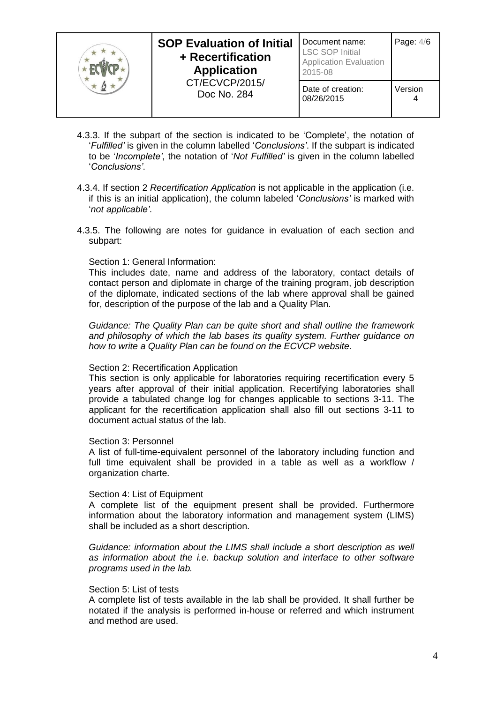|  | <b>SOP Evaluation of Initial</b><br>+ Recertification<br><b>Application</b> | Document name:<br><b>LSC SOP Initial</b><br><b>Application Evaluation</b><br>2015-08 | Page: 4/6    |
|--|-----------------------------------------------------------------------------|--------------------------------------------------------------------------------------|--------------|
|  | CT/ECVCP/2015/<br>Doc No. 284                                               | Date of creation:<br>08/26/2015                                                      | Version<br>4 |

- 4.3.3. If the subpart of the section is indicated to be 'Complete', the notation of '*Fulfilled'* is given in the column labelled '*Conclusions'*. If the subpart is indicated to be '*Incomplete'*, the notation of '*Not Fulfilled'* is given in the column labelled '*Conclusions'*.
- 4.3.4. If section 2 *Recertification Application* is not applicable in the application (i.e. if this is an initial application), the column labeled '*Conclusions'* is marked with '*not applicable'*.
- 4.3.5. The following are notes for guidance in evaluation of each section and subpart:

### Section 1: General Information:

This includes date, name and address of the laboratory, contact details of contact person and diplomate in charge of the training program, job description of the diplomate, indicated sections of the lab where approval shall be gained for, description of the purpose of the lab and a Quality Plan.

*Guidance: The Quality Plan can be quite short and shall outline the framework and philosophy of which the lab bases its quality system. Further guidance on how to write a Quality Plan can be found on the ECVCP website.*

#### Section 2: Recertification Application

This section is only applicable for laboratories requiring recertification every 5 years after approval of their initial application. Recertifying laboratories shall provide a tabulated change log for changes applicable to sections 3-11. The applicant for the recertification application shall also fill out sections 3-11 to document actual status of the lab.

#### Section 3: Personnel

A list of full-time-equivalent personnel of the laboratory including function and full time equivalent shall be provided in a table as well as a workflow / organization charte.

#### Section 4: List of Equipment

A complete list of the equipment present shall be provided. Furthermore information about the laboratory information and management system (LIMS) shall be included as a short description.

*Guidance: information about the LIMS shall include a short description as well as information about the i.e. backup solution and interface to other software programs used in the lab.*

#### Section 5: List of tests

A complete list of tests available in the lab shall be provided. It shall further be notated if the analysis is performed in-house or referred and which instrument and method are used.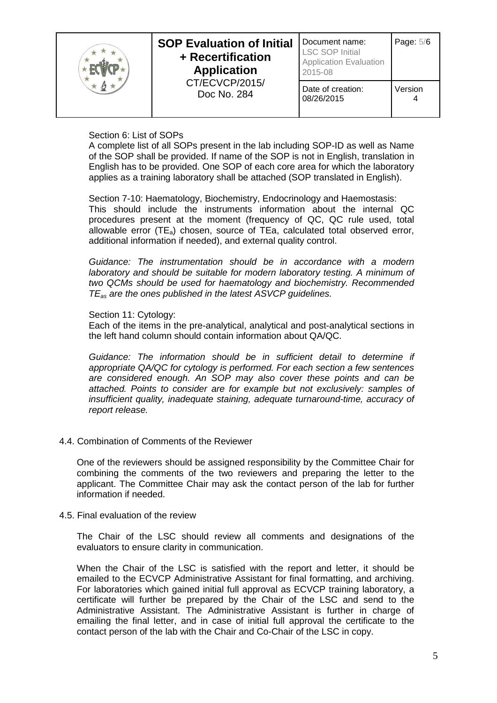|  | <b>SOP Evaluation of Initial</b><br>+ Recertification<br><b>Application</b> | Document name:<br><b>LSC SOP Initial</b><br><b>Application Evaluation</b><br>2015-08 | Page: 5/6 |
|--|-----------------------------------------------------------------------------|--------------------------------------------------------------------------------------|-----------|
|  | CT/ECVCP/2015/<br>Doc No. 284                                               | Date of creation:<br>08/26/2015                                                      | Version   |

## Section 6: List of SOPs

A complete list of all SOPs present in the lab including SOP-ID as well as Name of the SOP shall be provided. If name of the SOP is not in English, translation in English has to be provided. One SOP of each core area for which the laboratory applies as a training laboratory shall be attached (SOP translated in English).

Section 7-10: Haematology, Biochemistry, Endocrinology and Haemostasis: This should include the instruments information about the internal QC procedures present at the moment (frequency of QC, QC rule used, total allowable error  $(TE_a)$  chosen, source of TEa, calculated total observed error, additional information if needed), and external quality control.

*Guidance: The instrumentation should be in accordance with a modern laboratory and should be suitable for modern laboratory testing. A minimum of two QCMs should be used for haematology and biochemistry. Recommended TEas are the ones published in the latest ASVCP guidelines.*

### Section 11: Cytology:

Each of the items in the pre-analytical, analytical and post-analytical sections in the left hand column should contain information about QA/QC.

*Guidance: The information should be in sufficient detail to determine if appropriate QA/QC for cytology is performed. For each section a few sentences are considered enough. An SOP may also cover these points and can be attached. Points to consider are for example but not exclusively: samples of insufficient quality, inadequate staining, adequate turnaround-time, accuracy of report release.*

## 4.4. Combination of Comments of the Reviewer

One of the reviewers should be assigned responsibility by the Committee Chair for combining the comments of the two reviewers and preparing the letter to the applicant. The Committee Chair may ask the contact person of the lab for further information if needed.

#### 4.5. Final evaluation of the review

The Chair of the LSC should review all comments and designations of the evaluators to ensure clarity in communication.

When the Chair of the LSC is satisfied with the report and letter, it should be emailed to the ECVCP Administrative Assistant for final formatting, and archiving. For laboratories which gained initial full approval as ECVCP training laboratory, a certificate will further be prepared by the Chair of the LSC and send to the Administrative Assistant. The Administrative Assistant is further in charge of emailing the final letter, and in case of initial full approval the certificate to the contact person of the lab with the Chair and Co-Chair of the LSC in copy.